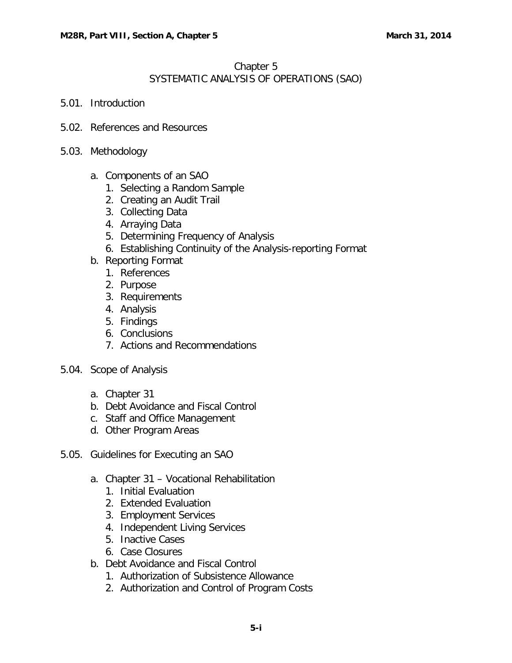## Chapter 5 SYSTEMATIC ANALYSIS OF OPERATIONS (SAO)

- 5.01. [Introduction](#page-2-0)
- 5.02. [References and Resources](#page-2-1)
- 5.03. [Methodology](#page-2-2)
	- a. [Components of an SAO](#page-2-3)
		- 1. [Selecting a Random Sample](#page-3-0)
		- 2. [Creating an Audit Trail](#page-3-1)
		- 3. [Collecting Data](#page-3-2)
		- 4. [Arraying Data](#page-4-0)
		- 5. [Determining Frequency of Analysis](#page-4-1)
		- 6. [Establishing Continuity of the Analysis-reporting Format](#page-4-2)
	- b. [Reporting Format](#page-4-3)
		- 1. [References](#page-4-4)
		- 2. [Purpose](#page-5-0)
		- 3. [Requirements](#page-5-1)
		- 4. [Analysis](#page-5-2)
		- 5. [Findings](#page-5-3)
		- 6. [Conclusions](#page-5-4)
		- 7. [Actions and Recommendations](#page-5-5)
- 5.04. [Scope of Analysis](#page-6-0)
	- a. [Chapter 31](#page-6-1)
	- b. [Debt Avoidance and Fiscal Control](#page-6-2)
	- c. [Staff and Office Management](#page-6-3)
	- d. [Other Program Areas](#page-6-4)
- 5.05. Guidelines [for Executing an SAO](#page-6-5)
	- a. Chapter 31 [Vocational Rehabilitation](#page-7-0)
		- 1. [Initial Evaluation](#page-7-1)
		- 2. [Extended Evaluation](#page-9-0)
		- 3. [Employment Services](#page-10-0)
		- 4. [Independent Living Services](#page-12-0)
		- 5. [Inactive Cases](#page-13-0)
		- 6. [Case Closures](#page-15-0)
	- b. [Debt Avoidance and Fiscal Control](#page-18-0)
		- 1. [Authorization of Subsistence Allowance](#page-18-1)
		- 2. [Authorization and Control of Program Costs](#page-19-0)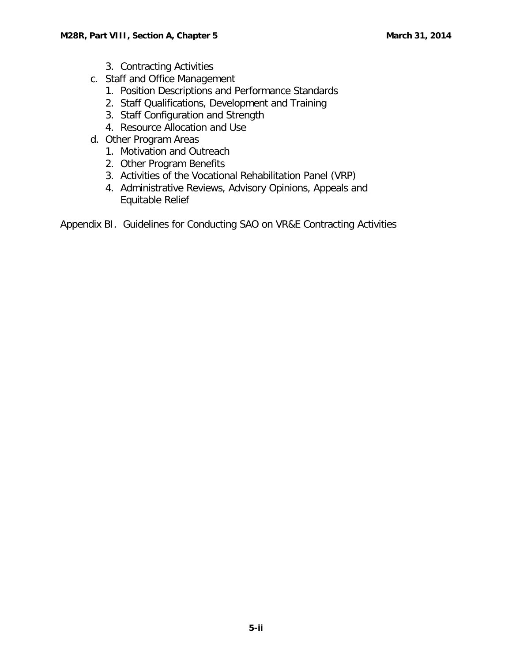- 3. [Contracting Activities](#page-21-0)
- c. Staff and [Office Management](#page-22-0)
	- 1. [Position Descriptions and Performance Standards](#page-22-1)
	- 2. [Staff Qualifications, Development and Training](#page-23-0)
	- 3. [Staff Configuration and Strength](#page-24-0)
	- 4. [Resource Allocation and Use](#page-25-0)
- d. [Other Program Areas](#page-26-0)
	- 1. [Motivation and Outreach](#page-26-1)
	- 2. [Other Program Benefits](#page-27-0)
	- 3. [Activities of the Vocational Rehabilitation Panel \(VRP\)](#page-29-0)
	- 4. [Administrative Reviews, Advisory Opinions, Appeals and](#page-30-0)  [Equitable Relief](#page-30-0)

Appendix BI. Guidelines for Conducting SAO on VR&E Contracting Activities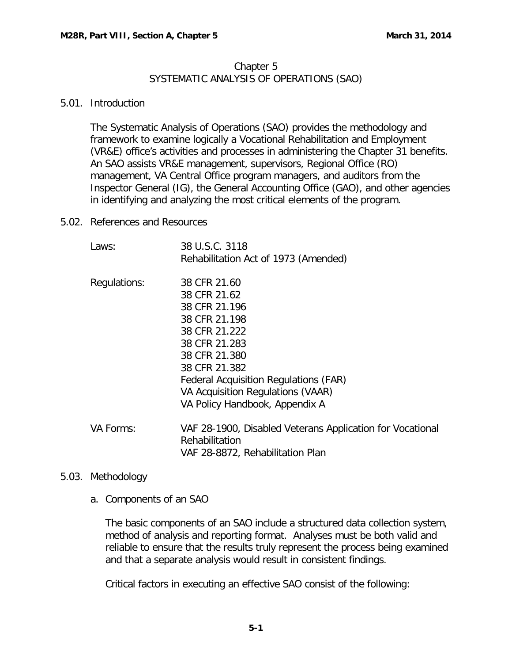### Chapter 5 SYSTEMATIC ANALYSIS OF OPERATIONS (SAO)

#### <span id="page-2-0"></span>5.01. Introduction

The Systematic Analysis of Operations (SAO) provides the methodology and framework to examine logically a Vocational Rehabilitation and Employment (VR&E) office's activities and processes in administering the Chapter 31 benefits. An SAO assists VR&E management, supervisors, Regional Office (RO) management, VA Central Office program managers, and auditors from the Inspector General (IG), the General Accounting Office (GAO), and other agencies in identifying and analyzing the most critical elements of the program.

<span id="page-2-1"></span>5.02. References and Resources

| Laws:        | 38 U.S.C. 3118<br>Rehabilitation Act of 1973 (Amended)                                                                                                                                                                                                    |
|--------------|-----------------------------------------------------------------------------------------------------------------------------------------------------------------------------------------------------------------------------------------------------------|
| Regulations: | 38 CFR 21.60<br>38 CFR 21.62<br>38 CFR 21.196<br>38 CFR 21.198<br>38 CFR 21.222<br>38 CFR 21.283<br>38 CFR 21.380<br>38 CFR 21.382<br><b>Federal Acquisition Regulations (FAR)</b><br>VA Acquisition Regulations (VAAR)<br>VA Policy Handbook, Appendix A |
| VA Forms:    | VAF 28-1900, Disabled Veterans Application for Vocational<br>Rehabilitation<br>VAF 28-8872, Rehabilitation Plan                                                                                                                                           |

## <span id="page-2-3"></span><span id="page-2-2"></span>5.03. Methodology

a. Components of an SAO

The basic components of an SAO include a structured data collection system, method of analysis and reporting format. Analyses must be both valid and reliable to ensure that the results truly represent the process being examined and that a separate analysis would result in consistent findings.

Critical factors in executing an effective SAO consist of the following: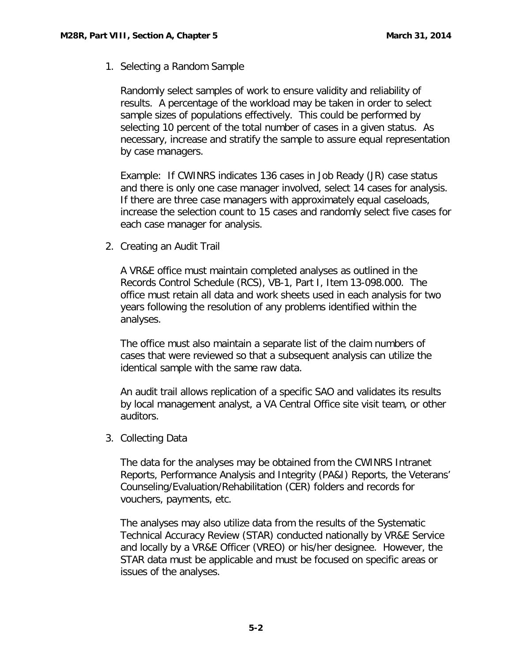<span id="page-3-0"></span>1. Selecting a Random Sample

Randomly select samples of work to ensure validity and reliability of results. A percentage of the workload may be taken in order to select sample sizes of populations effectively. This could be performed by selecting 10 percent of the total number of cases in a given status. As necessary, increase and stratify the sample to assure equal representation by case managers.

Example: If CWINRS indicates 136 cases in Job Ready (JR) case status and there is only one case manager involved, select 14 cases for analysis. If there are three case managers with approximately equal caseloads, increase the selection count to 15 cases and randomly select five cases for each case manager for analysis.

<span id="page-3-1"></span>2. Creating an Audit Trail

A VR&E office must maintain completed analyses as outlined in the Records Control Schedule (RCS), VB-1, Part I, Item 13-098.000. The office must retain all data and work sheets used in each analysis for two years following the resolution of any problems identified within the analyses.

The office must also maintain a separate list of the claim numbers of cases that were reviewed so that a subsequent analysis can utilize the identical sample with the same raw data.

An audit trail allows replication of a specific SAO and validates its results by local management analyst, a VA Central Office site visit team, or other auditors.

<span id="page-3-2"></span>3. Collecting Data

The data for the analyses may be obtained from the CWINRS Intranet Reports, Performance Analysis and Integrity (PA&I) Reports, the Veterans' Counseling/Evaluation/Rehabilitation (CER) folders and records for vouchers, payments, etc.

The analyses may also utilize data from the results of the Systematic Technical Accuracy Review (STAR) conducted nationally by VR&E Service and locally by a VR&E Officer (VREO) or his/her designee. However, the STAR data must be applicable and must be focused on specific areas or issues of the analyses.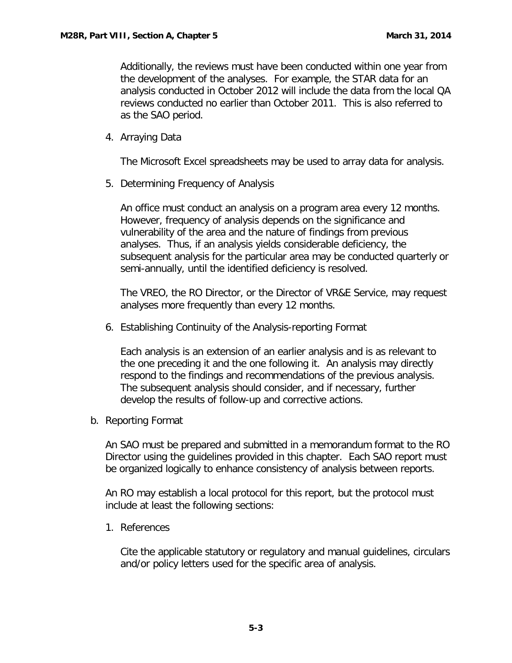Additionally, the reviews must have been conducted within one year from the development of the analyses. For example, the STAR data for an analysis conducted in October 2012 will include the data from the local QA reviews conducted no earlier than October 2011. This is also referred to as the SAO period.

<span id="page-4-0"></span>4. Arraying Data

The Microsoft Excel spreadsheets may be used to array data for analysis.

<span id="page-4-1"></span>5. Determining Frequency of Analysis

An office must conduct an analysis on a program area every 12 months. However, frequency of analysis depends on the significance and vulnerability of the area and the nature of findings from previous analyses. Thus, if an analysis yields considerable deficiency, the subsequent analysis for the particular area may be conducted quarterly or semi-annually, until the identified deficiency is resolved.

The VREO, the RO Director, or the Director of VR&E Service, may request analyses more frequently than every 12 months.

<span id="page-4-2"></span>6. Establishing Continuity of the Analysis-reporting Format

Each analysis is an extension of an earlier analysis and is as relevant to the one preceding it and the one following it. An analysis may directly respond to the findings and recommendations of the previous analysis. The subsequent analysis should consider, and if necessary, further develop the results of follow-up and corrective actions.

<span id="page-4-3"></span>b. Reporting Format

An SAO must be prepared and submitted in a memorandum format to the RO Director using the guidelines provided in this chapter. Each SAO report must be organized logically to enhance consistency of analysis between reports.

An RO may establish a local protocol for this report, but the protocol must include at least the following sections:

<span id="page-4-4"></span>1. References

Cite the applicable statutory or regulatory and manual guidelines, circulars and/or policy letters used for the specific area of analysis.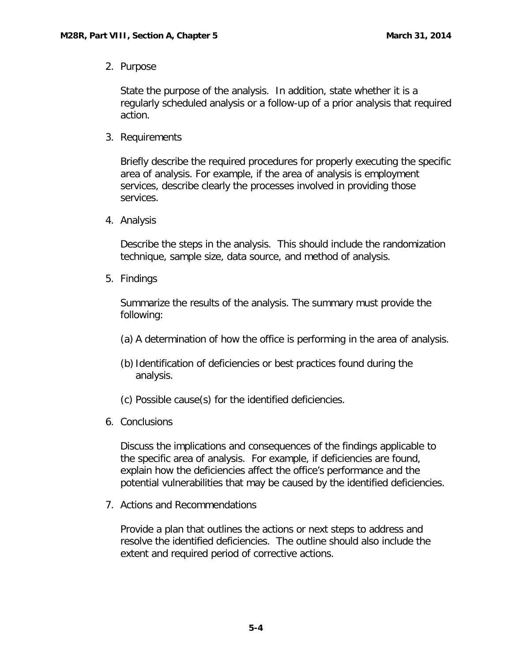<span id="page-5-0"></span>2. Purpose

State the purpose of the analysis. In addition, state whether it is a regularly scheduled analysis or a follow-up of a prior analysis that required action.

<span id="page-5-1"></span>3. Requirements

Briefly describe the required procedures for properly executing the specific area of analysis. For example, if the area of analysis is employment services, describe clearly the processes involved in providing those services.

<span id="page-5-2"></span>4. Analysis

Describe the steps in the analysis. This should include the randomization technique, sample size, data source, and method of analysis.

<span id="page-5-3"></span>5. Findings

Summarize the results of the analysis. The summary must provide the following:

- (a) A determination of how the office is performing in the area of analysis.
- (b) Identification of deficiencies or best practices found during the analysis.
- (c) Possible cause(s) for the identified deficiencies.
- <span id="page-5-4"></span>6. Conclusions

Discuss the implications and consequences of the findings applicable to the specific area of analysis. For example, if deficiencies are found, explain how the deficiencies affect the office's performance and the potential vulnerabilities that may be caused by the identified deficiencies.

<span id="page-5-5"></span>7. Actions and Recommendations

Provide a plan that outlines the actions or next steps to address and resolve the identified deficiencies. The outline should also include the extent and required period of corrective actions.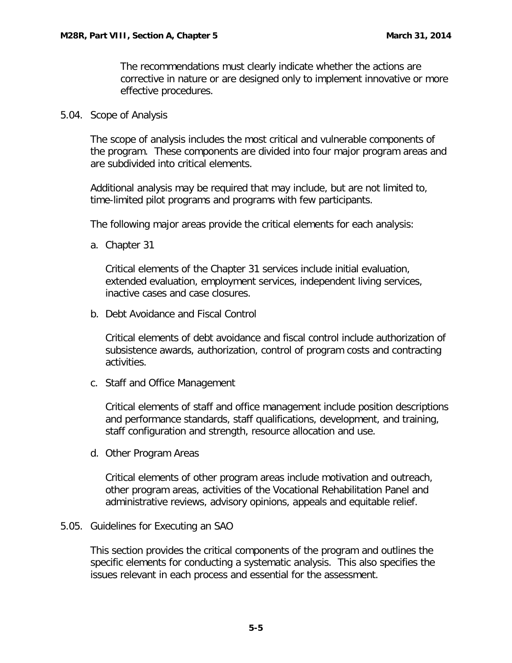The recommendations must clearly indicate whether the actions are corrective in nature or are designed only to implement innovative or more effective procedures.

<span id="page-6-0"></span>5.04. Scope of Analysis

The scope of analysis includes the most critical and vulnerable components of the program. These components are divided into four major program areas and are subdivided into critical elements.

Additional analysis may be required that may include, but are not limited to, time-limited pilot programs and programs with few participants.

The following major areas provide the critical elements for each analysis:

<span id="page-6-1"></span>a. Chapter 31

Critical elements of the Chapter 31 services include initial evaluation, extended evaluation, employment services, independent living services, inactive cases and case closures.

<span id="page-6-2"></span>b. Debt Avoidance and Fiscal Control

Critical elements of debt avoidance and fiscal control include authorization of subsistence awards, authorization, control of program costs and contracting activities.

<span id="page-6-3"></span>c. Staff and Office Management

Critical elements of staff and office management include position descriptions and performance standards, staff qualifications, development, and training, staff configuration and strength, resource allocation and use.

<span id="page-6-4"></span>d. Other Program Areas

Critical elements of other program areas include motivation and outreach, other program areas, activities of the Vocational Rehabilitation Panel and administrative reviews, advisory opinions, appeals and equitable relief.

#### <span id="page-6-5"></span>5.05. Guidelines for Executing an SAO

This section provides the critical components of the program and outlines the specific elements for conducting a systematic analysis. This also specifies the issues relevant in each process and essential for the assessment.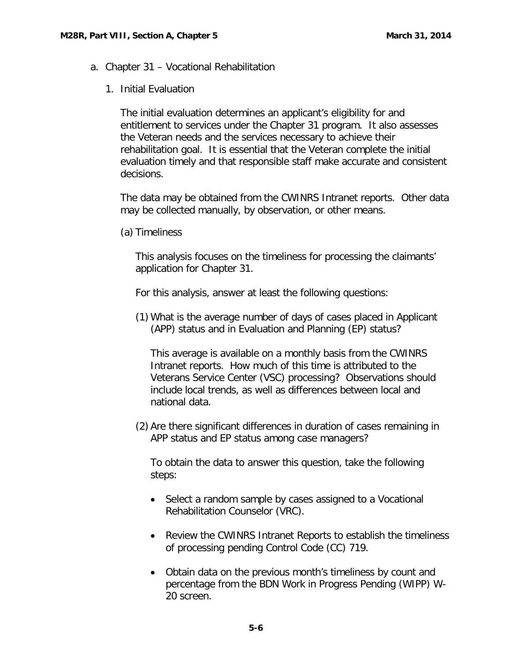- <span id="page-7-1"></span><span id="page-7-0"></span>a. Chapter 31 – Vocational Rehabilitation
	- 1. Initial Evaluation

The initial evaluation determines an applicant's eligibility for and entitlement to services under the Chapter 31 program. It also assesses the Veteran needs and the services necessary to achieve their rehabilitation goal. It is essential that the Veteran complete the initial evaluation timely and that responsible staff make accurate and consistent decisions.

The data may be obtained from the CWINRS Intranet reports. Other data may be collected manually, by observation, or other means.

(a) Timeliness

This analysis focuses on the timeliness for processing the claimants' application for Chapter 31.

For this analysis, answer at least the following questions:

(1) What is the average number of days of cases placed in Applicant (APP) status and in Evaluation and Planning (EP) status?

This average is available on a monthly basis from the CWINRS Intranet reports. How much of this time is attributed to the Veterans Service Center (VSC) processing? Observations should include local trends, as well as differences between local and national data.

(2) Are there significant differences in duration of cases remaining in APP status and EP status among case managers?

To obtain the data to answer this question, take the following steps:

- Select a random sample by cases assigned to a Vocational Rehabilitation Counselor (VRC).
- Review the CWINRS Intranet Reports to establish the timeliness of processing pending Control Code (CC) 719.
- Obtain data on the previous month's timeliness by count and percentage from the BDN Work in Progress Pending (WIPP) W-20 screen.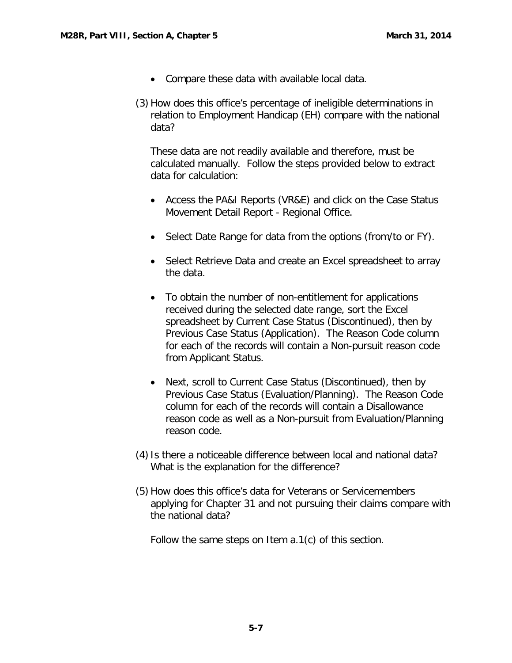- Compare these data with available local data.
- (3) How does this office's percentage of ineligible determinations in relation to Employment Handicap (EH) compare with the national data?

These data are not readily available and therefore, must be calculated manually. Follow the steps provided below to extract data for calculation:

- Access the PA&I Reports (VR&E) and click on the Case Status Movement Detail Report - Regional Office.
- Select Date Range for data from the options (from/to or FY).
- Select Retrieve Data and create an Excel spreadsheet to array the data.
- To obtain the number of non-entitlement for applications received during the selected date range, sort the Excel spreadsheet by Current Case Status (Discontinued), then by Previous Case Status (Application). The Reason Code column for each of the records will contain a Non-pursuit reason code from Applicant Status.
- Next, scroll to Current Case Status (Discontinued), then by Previous Case Status (Evaluation/Planning). The Reason Code column for each of the records will contain a Disallowance reason code as well as a Non-pursuit from Evaluation/Planning reason code.
- (4) Is there a noticeable difference between local and national data? What is the explanation for the difference?
- (5) How does this office's data for Veterans or Servicemembers applying for Chapter 31 and not pursuing their claims compare with the national data?

Follow the same steps on Item a.1(c) of this section.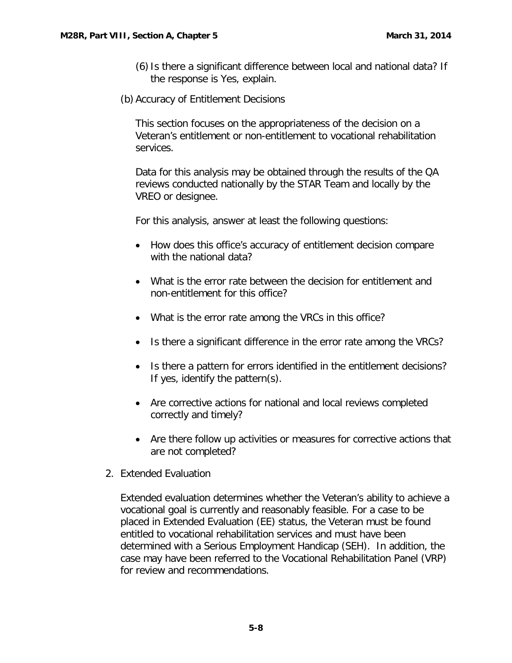- (6)Is there a significant difference between local and national data? If the response is Yes, explain.
- (b) Accuracy of Entitlement Decisions

This section focuses on the appropriateness of the decision on a Veteran's entitlement or non-entitlement to vocational rehabilitation services.

Data for this analysis may be obtained through the results of the QA reviews conducted nationally by the STAR Team and locally by the VREO or designee.

For this analysis, answer at least the following questions:

- How does this office's accuracy of entitlement decision compare with the national data?
- What is the error rate between the decision for entitlement and non-entitlement for this office?
- What is the error rate among the VRCs in this office?
- Is there a significant difference in the error rate among the VRCs?
- Is there a pattern for errors identified in the entitlement decisions? If yes, identify the pattern(s).
- Are corrective actions for national and local reviews completed correctly and timely?
- Are there follow up activities or measures for corrective actions that are not completed?
- <span id="page-9-0"></span>2. Extended Evaluation

Extended evaluation determines whether the Veteran's ability to achieve a vocational goal is currently and reasonably feasible. For a case to be placed in Extended Evaluation (EE) status, the Veteran must be found entitled to vocational rehabilitation services and must have been determined with a Serious Employment Handicap (SEH). In addition, the case may have been referred to the Vocational Rehabilitation Panel (VRP) for review and recommendations.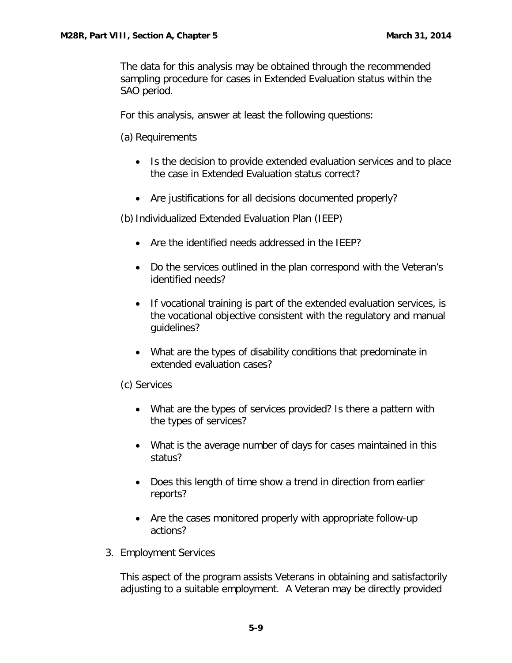The data for this analysis may be obtained through the recommended sampling procedure for cases in Extended Evaluation status within the SAO period.

For this analysis, answer at least the following questions:

(a) Requirements

- Is the decision to provide extended evaluation services and to place the case in Extended Evaluation status correct?
- Are justifications for all decisions documented properly?

(b)Individualized Extended Evaluation Plan (IEEP)

- Are the identified needs addressed in the IEEP?
- Do the services outlined in the plan correspond with the Veteran's identified needs?
- If vocational training is part of the extended evaluation services, is the vocational objective consistent with the regulatory and manual guidelines?
- What are the types of disability conditions that predominate in extended evaluation cases?

(c) Services

- What are the types of services provided? Is there a pattern with the types of services?
- What is the average number of days for cases maintained in this status?
- Does this length of time show a trend in direction from earlier reports?
- Are the cases monitored properly with appropriate follow-up actions?
- <span id="page-10-0"></span>3. Employment Services

This aspect of the program assists Veterans in obtaining and satisfactorily adjusting to a suitable employment. A Veteran may be directly provided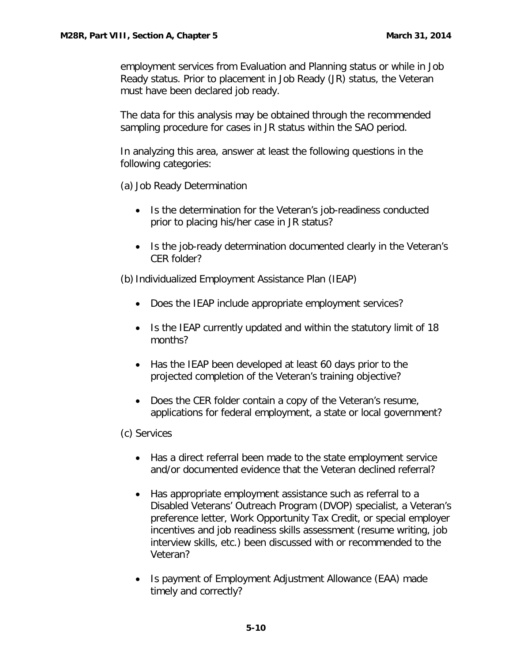employment services from Evaluation and Planning status or while in Job Ready status. Prior to placement in Job Ready (JR) status, the Veteran must have been declared job ready.

The data for this analysis may be obtained through the recommended sampling procedure for cases in JR status within the SAO period.

In analyzing this area, answer at least the following questions in the following categories:

(a) Job Ready Determination

- Is the determination for the Veteran's job-readiness conducted prior to placing his/her case in JR status?
- Is the job-ready determination documented clearly in the Veteran's CER folder?

(b)Individualized Employment Assistance Plan (IEAP)

- Does the IEAP include appropriate employment services?
- Is the IEAP currently updated and within the statutory limit of 18 months?
- Has the IEAP been developed at least 60 days prior to the projected completion of the Veteran's training objective?
- Does the CER folder contain a copy of the Veteran's resume, applications for federal employment, a state or local government?

(c) Services

- Has a direct referral been made to the state employment service and/or documented evidence that the Veteran declined referral?
- Has appropriate employment assistance such as referral to a Disabled Veterans' Outreach Program (DVOP) specialist, a Veteran's preference letter, Work Opportunity Tax Credit, or special employer incentives and job readiness skills assessment (resume writing, job interview skills, etc.) been discussed with or recommended to the Veteran?
- Is payment of Employment Adjustment Allowance (EAA) made timely and correctly?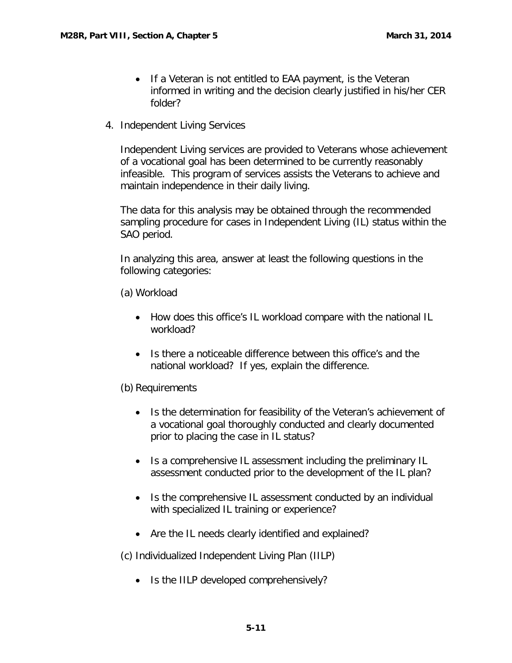- If a Veteran is not entitled to EAA payment, is the Veteran informed in writing and the decision clearly justified in his/her CER folder?
- <span id="page-12-0"></span>4. Independent Living Services

Independent Living services are provided to Veterans whose achievement of a vocational goal has been determined to be currently reasonably infeasible. This program of services assists the Veterans to achieve and maintain independence in their daily living.

The data for this analysis may be obtained through the recommended sampling procedure for cases in Independent Living (IL) status within the SAO period.

In analyzing this area, answer at least the following questions in the following categories:

(a) Workload

- How does this office's IL workload compare with the national IL workload?
- Is there a noticeable difference between this office's and the national workload? If yes, explain the difference.

(b) Requirements

- Is the determination for feasibility of the Veteran's achievement of a vocational goal thoroughly conducted and clearly documented prior to placing the case in IL status?
- Is a comprehensive IL assessment including the preliminary IL assessment conducted prior to the development of the IL plan?
- Is the comprehensive IL assessment conducted by an individual with specialized IL training or experience?
- Are the IL needs clearly identified and explained?

(c) Individualized Independent Living Plan (IILP)

• Is the IILP developed comprehensively?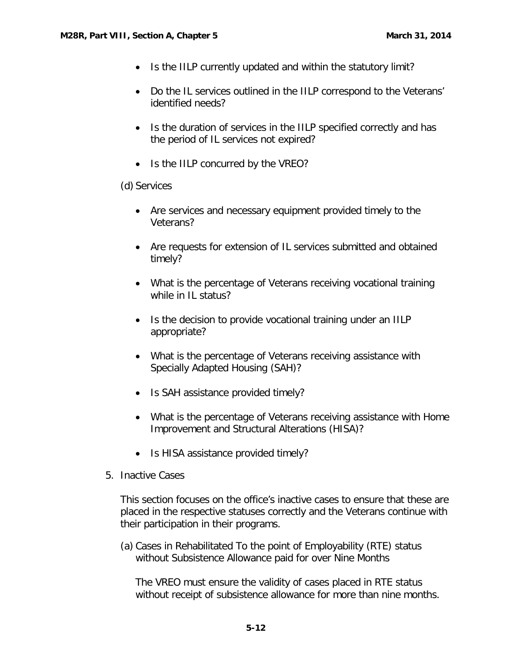- Is the IILP currently updated and within the statutory limit?
- Do the IL services outlined in the IILP correspond to the Veterans' identified needs?
- Is the duration of services in the IILP specified correctly and has the period of IL services not expired?
- Is the IILP concurred by the VREO?

(d) Services

- Are services and necessary equipment provided timely to the Veterans?
- Are requests for extension of IL services submitted and obtained timely?
- What is the percentage of Veterans receiving vocational training while in IL status?
- Is the decision to provide vocational training under an IILP appropriate?
- What is the percentage of Veterans receiving assistance with Specially Adapted Housing (SAH)?
- Is SAH assistance provided timely?
- What is the percentage of Veterans receiving assistance with Home Improvement and Structural Alterations (HISA)?
- Is HISA assistance provided timely?
- <span id="page-13-0"></span>5. Inactive Cases

This section focuses on the office's inactive cases to ensure that these are placed in the respective statuses correctly and the Veterans continue with their participation in their programs.

(a) Cases in Rehabilitated To the point of Employability (RTE) status without Subsistence Allowance paid for over Nine Months

The VREO must ensure the validity of cases placed in RTE status without receipt of subsistence allowance for more than nine months.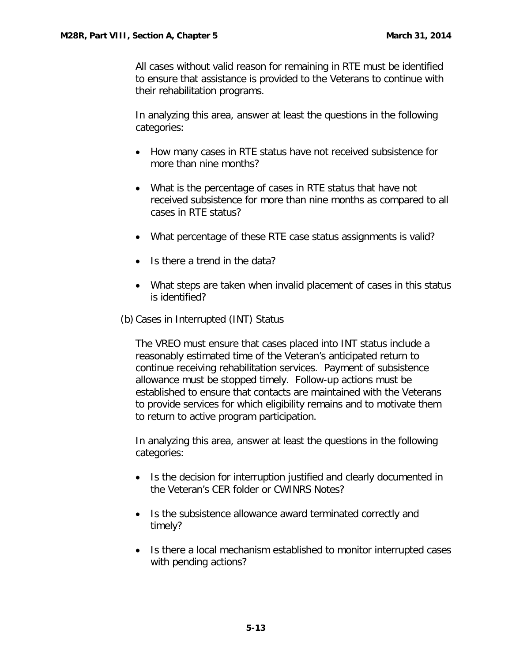All cases without valid reason for remaining in RTE must be identified to ensure that assistance is provided to the Veterans to continue with their rehabilitation programs.

In analyzing this area, answer at least the questions in the following categories:

- How many cases in RTE status have not received subsistence for more than nine months?
- What is the percentage of cases in RTE status that have not received subsistence for more than nine months as compared to all cases in RTE status?
- What percentage of these RTE case status assignments is valid?
- Is there a trend in the data?
- What steps are taken when invalid placement of cases in this status is identified?
- (b) Cases in Interrupted (INT) Status

The VREO must ensure that cases placed into INT status include a reasonably estimated time of the Veteran's anticipated return to continue receiving rehabilitation services. Payment of subsistence allowance must be stopped timely. Follow-up actions must be established to ensure that contacts are maintained with the Veterans to provide services for which eligibility remains and to motivate them to return to active program participation.

In analyzing this area, answer at least the questions in the following categories:

- Is the decision for interruption justified and clearly documented in the Veteran's CER folder or CWINRS Notes?
- Is the subsistence allowance award terminated correctly and timely?
- Is there a local mechanism established to monitor interrupted cases with pending actions?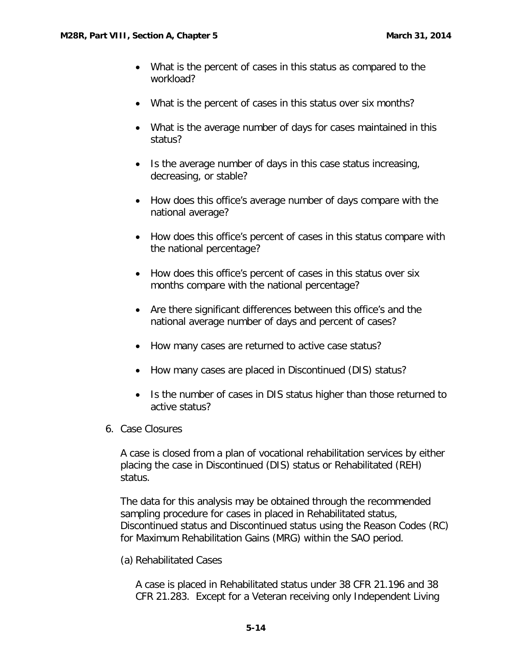- What is the percent of cases in this status as compared to the workload?
- What is the percent of cases in this status over six months?
- What is the average number of days for cases maintained in this status?
- Is the average number of days in this case status increasing, decreasing, or stable?
- How does this office's average number of days compare with the national average?
- How does this office's percent of cases in this status compare with the national percentage?
- How does this office's percent of cases in this status over six months compare with the national percentage?
- Are there significant differences between this office's and the national average number of days and percent of cases?
- How many cases are returned to active case status?
- How many cases are placed in Discontinued (DIS) status?
- Is the number of cases in DIS status higher than those returned to active status?
- <span id="page-15-0"></span>6. Case Closures

A case is closed from a plan of vocational rehabilitation services by either placing the case in Discontinued (DIS) status or Rehabilitated (REH) status.

The data for this analysis may be obtained through the recommended sampling procedure for cases in placed in Rehabilitated status, Discontinued status and Discontinued status using the Reason Codes (RC) for Maximum Rehabilitation Gains (MRG) within the SAO period.

(a) Rehabilitated Cases

A case is placed in Rehabilitated status under 38 CFR 21.196 and 38 CFR 21.283. Except for a Veteran receiving only Independent Living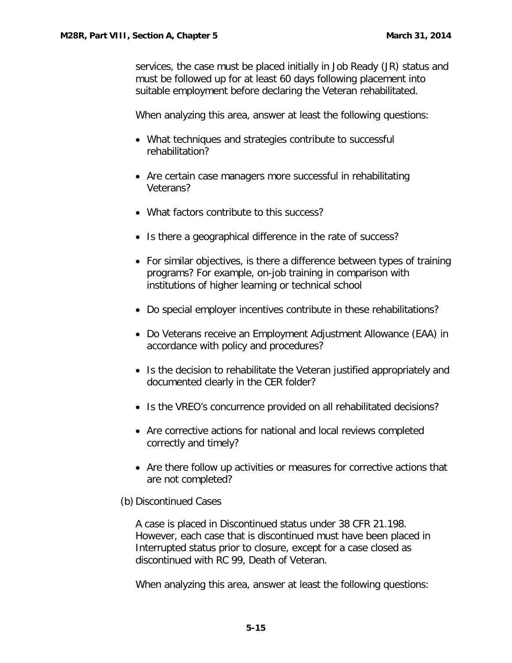services, the case must be placed initially in Job Ready (JR) status and must be followed up for at least 60 days following placement into suitable employment before declaring the Veteran rehabilitated.

When analyzing this area, answer at least the following questions:

- What techniques and strategies contribute to successful rehabilitation?
- Are certain case managers more successful in rehabilitating Veterans?
- What factors contribute to this success?
- Is there a geographical difference in the rate of success?
- For similar objectives, is there a difference between types of training programs? For example, on-job training in comparison with institutions of higher learning or technical school
- Do special employer incentives contribute in these rehabilitations?
- Do Veterans receive an Employment Adjustment Allowance (EAA) in accordance with policy and procedures?
- Is the decision to rehabilitate the Veteran justified appropriately and documented clearly in the CER folder?
- Is the VREO's concurrence provided on all rehabilitated decisions?
- Are corrective actions for national and local reviews completed correctly and timely?
- Are there follow up activities or measures for corrective actions that are not completed?

(b) Discontinued Cases

A case is placed in Discontinued status under 38 CFR 21.198. However, each case that is discontinued must have been placed in Interrupted status prior to closure, except for a case closed as discontinued with RC 99, Death of Veteran.

When analyzing this area, answer at least the following questions: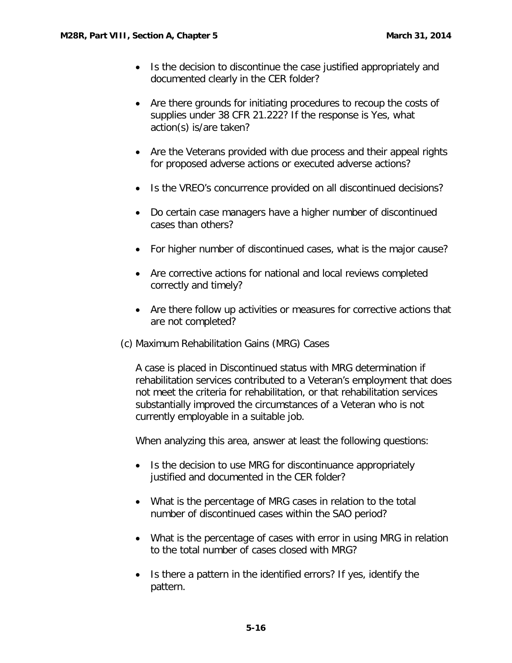- Is the decision to discontinue the case justified appropriately and documented clearly in the CER folder?
- Are there grounds for initiating procedures to recoup the costs of supplies under 38 CFR 21.222? If the response is Yes, what action(s) is/are taken?
- Are the Veterans provided with due process and their appeal rights for proposed adverse actions or executed adverse actions?
- Is the VREO's concurrence provided on all discontinued decisions?
- Do certain case managers have a higher number of discontinued cases than others?
- For higher number of discontinued cases, what is the major cause?
- Are corrective actions for national and local reviews completed correctly and timely?
- Are there follow up activities or measures for corrective actions that are not completed?
- (c) Maximum Rehabilitation Gains (MRG) Cases

A case is placed in Discontinued status with MRG determination if rehabilitation services contributed to a Veteran's employment that does not meet the criteria for rehabilitation, or that rehabilitation services substantially improved the circumstances of a Veteran who is not currently employable in a suitable job.

When analyzing this area, answer at least the following questions:

- Is the decision to use MRG for discontinuance appropriately justified and documented in the CER folder?
- What is the percentage of MRG cases in relation to the total number of discontinued cases within the SAO period?
- What is the percentage of cases with error in using MRG in relation to the total number of cases closed with MRG?
- Is there a pattern in the identified errors? If yes, identify the pattern.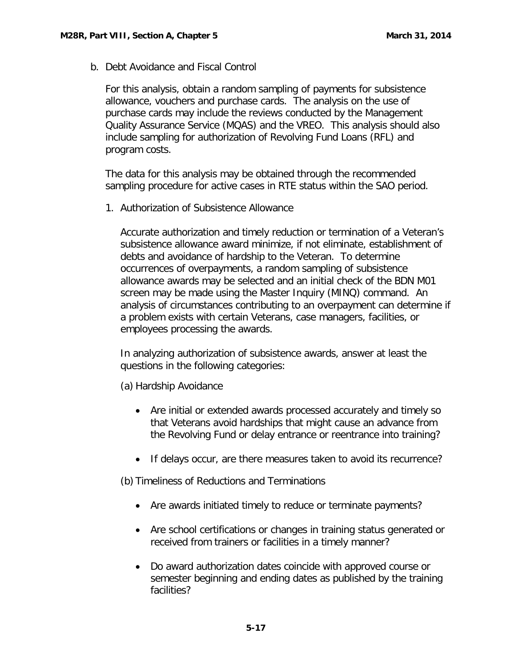<span id="page-18-0"></span>b. Debt Avoidance and Fiscal Control

For this analysis, obtain a random sampling of payments for subsistence allowance, vouchers and purchase cards. The analysis on the use of purchase cards may include the reviews conducted by the Management Quality Assurance Service (MQAS) and the VREO. This analysis should also include sampling for authorization of Revolving Fund Loans (RFL) and program costs.

The data for this analysis may be obtained through the recommended sampling procedure for active cases in RTE status within the SAO period.

<span id="page-18-1"></span>1. Authorization of Subsistence Allowance

Accurate authorization and timely reduction or termination of a Veteran's subsistence allowance award minimize, if not eliminate, establishment of debts and avoidance of hardship to the Veteran. To determine occurrences of overpayments, a random sampling of subsistence allowance awards may be selected and an initial check of the BDN M01 screen may be made using the Master Inquiry (MINQ) command. An analysis of circumstances contributing to an overpayment can determine if a problem exists with certain Veterans, case managers, facilities, or employees processing the awards.

In analyzing authorization of subsistence awards, answer at least the questions in the following categories:

(a) Hardship Avoidance

- Are initial or extended awards processed accurately and timely so that Veterans avoid hardships that might cause an advance from the Revolving Fund or delay entrance or reentrance into training?
- If delays occur, are there measures taken to avoid its recurrence?

(b) Timeliness of Reductions and Terminations

- Are awards initiated timely to reduce or terminate payments?
- Are school certifications or changes in training status generated or received from trainers or facilities in a timely manner?
- Do award authorization dates coincide with approved course or semester beginning and ending dates as published by the training facilities?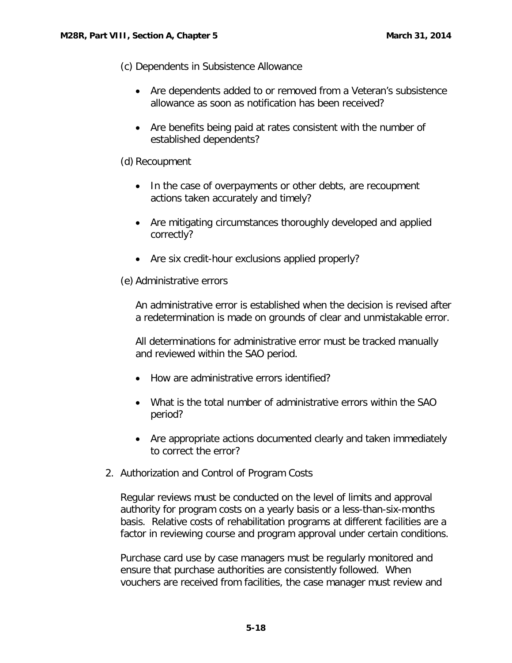(c) Dependents in Subsistence Allowance

- Are dependents added to or removed from a Veteran's subsistence allowance as soon as notification has been received?
- Are benefits being paid at rates consistent with the number of established dependents?

# (d) Recoupment

- In the case of overpayments or other debts, are recoupment actions taken accurately and timely?
- Are mitigating circumstances thoroughly developed and applied correctly?
- Are six credit-hour exclusions applied properly?

# (e) Administrative errors

An administrative error is established when the decision is revised after a redetermination is made on grounds of clear and unmistakable error.

All determinations for administrative error must be tracked manually and reviewed within the SAO period.

- How are administrative errors identified?
- What is the total number of administrative errors within the SAO period?
- Are appropriate actions documented clearly and taken immediately to correct the error?
- <span id="page-19-0"></span>2. Authorization and Control of Program Costs

Regular reviews must be conducted on the level of limits and approval authority for program costs on a yearly basis or a less-than-six-months basis. Relative costs of rehabilitation programs at different facilities are a factor in reviewing course and program approval under certain conditions.

Purchase card use by case managers must be regularly monitored and ensure that purchase authorities are consistently followed. When vouchers are received from facilities, the case manager must review and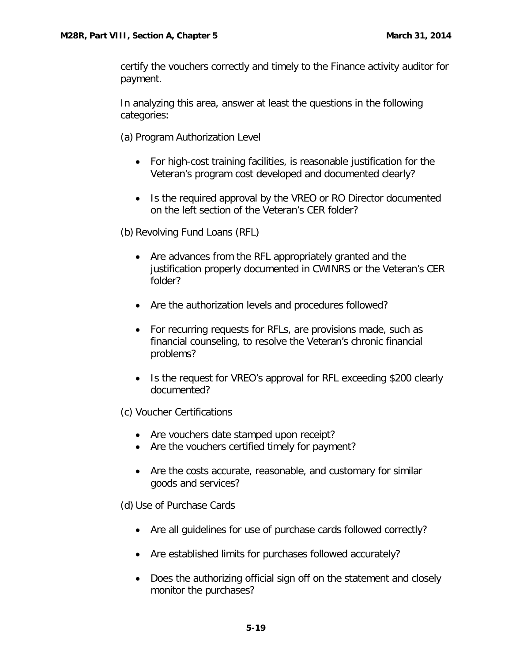certify the vouchers correctly and timely to the Finance activity auditor for payment.

In analyzing this area, answer at least the questions in the following categories:

(a) Program Authorization Level

- For high-cost training facilities, is reasonable justification for the Veteran's program cost developed and documented clearly?
- Is the required approval by the VREO or RO Director documented on the left section of the Veteran's CER folder?

(b) Revolving Fund Loans (RFL)

- Are advances from the RFL appropriately granted and the justification properly documented in CWINRS or the Veteran's CER folder?
- Are the authorization levels and procedures followed?
- For recurring requests for RFLs, are provisions made, such as financial counseling, to resolve the Veteran's chronic financial problems?
- Is the request for VREO's approval for RFL exceeding \$200 clearly documented?

(c) Voucher Certifications

- Are vouchers date stamped upon receipt?
- Are the vouchers certified timely for payment?
- Are the costs accurate, reasonable, and customary for similar goods and services?

(d) Use of Purchase Cards

- Are all guidelines for use of purchase cards followed correctly?
- Are established limits for purchases followed accurately?
- Does the authorizing official sign off on the statement and closely monitor the purchases?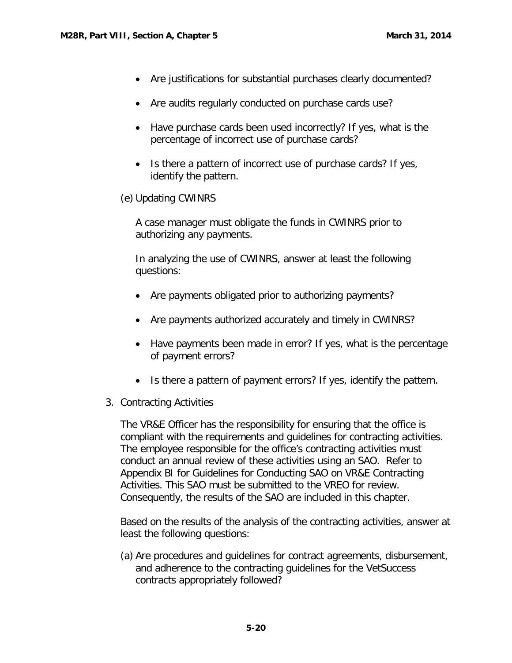- Are justifications for substantial purchases clearly documented?
- Are audits regularly conducted on purchase cards use?
- Have purchase cards been used incorrectly? If yes, what is the percentage of incorrect use of purchase cards?
- Is there a pattern of incorrect use of purchase cards? If yes, identify the pattern.
- (e) Updating CWINRS

A case manager must obligate the funds in CWINRS prior to authorizing any payments.

In analyzing the use of CWINRS, answer at least the following questions:

- Are payments obligated prior to authorizing payments?
- Are payments authorized accurately and timely in CWINRS?
- Have payments been made in error? If yes, what is the percentage of payment errors?
- Is there a pattern of payment errors? If yes, identify the pattern.
- <span id="page-21-0"></span>3. Contracting Activities

The VR&E Officer has the responsibility for ensuring that the office is compliant with the requirements and guidelines for contracting activities. The employee responsible for the office's contracting activities must conduct an annual review of these activities using an SAO. Refer to Appendix BI for Guidelines for Conducting SAO on VR&E Contracting Activities. This SAO must be submitted to the VREO for review. Consequently, the results of the SAO are included in this chapter.

Based on the results of the analysis of the contracting activities, answer at least the following questions:

(a) Are procedures and guidelines for contract agreements, disbursement, and adherence to the contracting guidelines for the VetSuccess contracts appropriately followed?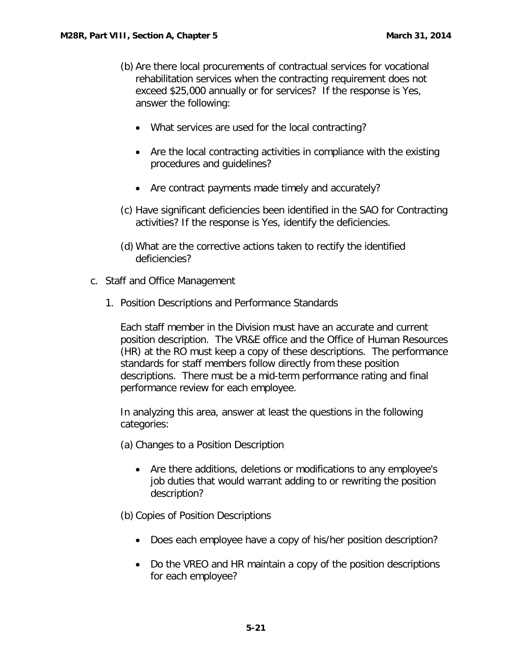- (b) Are there local procurements of contractual services for vocational rehabilitation services when the contracting requirement does not exceed \$25,000 annually or for services? If the response is Yes, answer the following:
	- What services are used for the local contracting?
	- Are the local contracting activities in compliance with the existing procedures and guidelines?
	- Are contract payments made timely and accurately?
- (c) Have significant deficiencies been identified in the SAO for Contracting activities? If the response is Yes, identify the deficiencies.
- (d) What are the corrective actions taken to rectify the identified deficiencies?
- <span id="page-22-1"></span><span id="page-22-0"></span>c. Staff and Office Management
	- 1. Position Descriptions and Performance Standards

Each staff member in the Division must have an accurate and current position description. The VR&E office and the Office of Human Resources (HR) at the RO must keep a copy of these descriptions. The performance standards for staff members follow directly from these position descriptions. There must be a mid-term performance rating and final performance review for each employee.

In analyzing this area, answer at least the questions in the following categories:

(a) Changes to a Position Description

• Are there additions, deletions or modifications to any employee's job duties that would warrant adding to or rewriting the position description?

(b) Copies of Position Descriptions

- Does each employee have a copy of his/her position description?
- Do the VREO and HR maintain a copy of the position descriptions for each employee?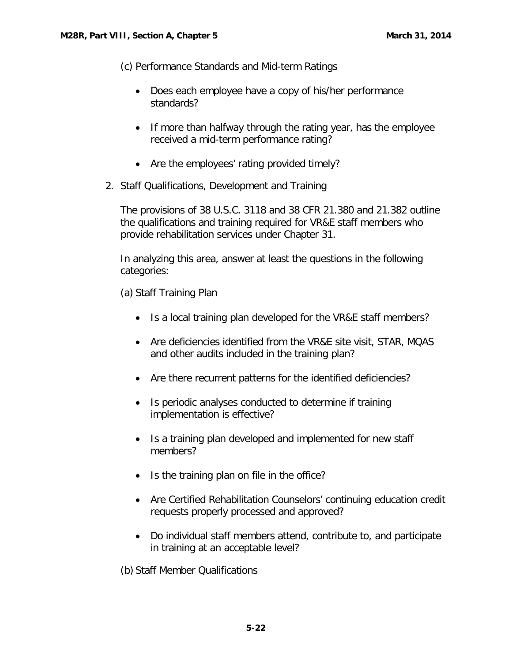(c) Performance Standards and Mid-term Ratings

- Does each employee have a copy of his/her performance standards?
- If more than halfway through the rating year, has the employee received a mid-term performance rating?
- Are the employees' rating provided timely?
- <span id="page-23-0"></span>2. Staff Qualifications, Development and Training

The provisions of 38 U.S.C. 3118 and 38 CFR 21.380 and 21.382 outline the qualifications and training required for VR&E staff members who provide rehabilitation services under Chapter 31.

In analyzing this area, answer at least the questions in the following categories:

(a) Staff Training Plan

- Is a local training plan developed for the VR&E staff members?
- Are deficiencies identified from the VR&E site visit, STAR, MQAS and other audits included in the training plan?
- Are there recurrent patterns for the identified deficiencies?
- Is periodic analyses conducted to determine if training implementation is effective?
- Is a training plan developed and implemented for new staff members?
- Is the training plan on file in the office?
- Are Certified Rehabilitation Counselors' continuing education credit requests properly processed and approved?
- Do individual staff members attend, contribute to, and participate in training at an acceptable level?

(b) Staff Member Qualifications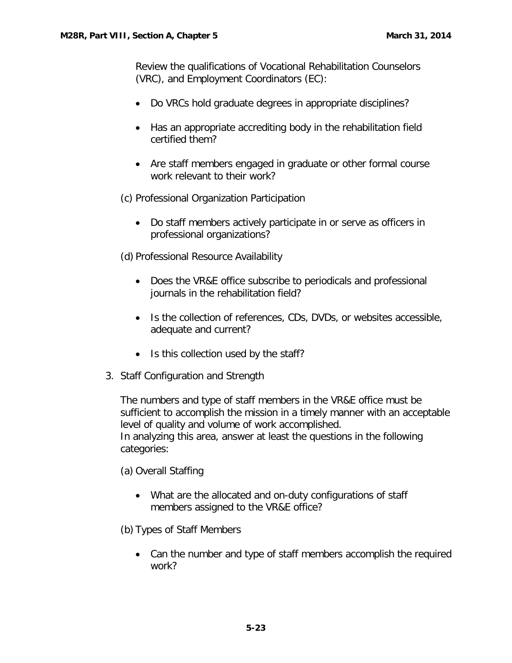Review the qualifications of Vocational Rehabilitation Counselors (VRC), and Employment Coordinators (EC):

- Do VRCs hold graduate degrees in appropriate disciplines?
- Has an appropriate accrediting body in the rehabilitation field certified them?
- Are staff members engaged in graduate or other formal course work relevant to their work?
- (c) Professional Organization Participation
	- Do staff members actively participate in or serve as officers in professional organizations?

(d) Professional Resource Availability

- Does the VR&E office subscribe to periodicals and professional journals in the rehabilitation field?
- Is the collection of references, CDs, DVDs, or websites accessible, adequate and current?
- Is this collection used by the staff?
- <span id="page-24-0"></span>3. Staff Configuration and Strength

The numbers and type of staff members in the VR&E office must be sufficient to accomplish the mission in a timely manner with an acceptable level of quality and volume of work accomplished. In analyzing this area, answer at least the questions in the following categories:

(a) Overall Staffing

- What are the allocated and on-duty configurations of staff members assigned to the VR&E office?
- (b) Types of Staff Members
	- Can the number and type of staff members accomplish the required work?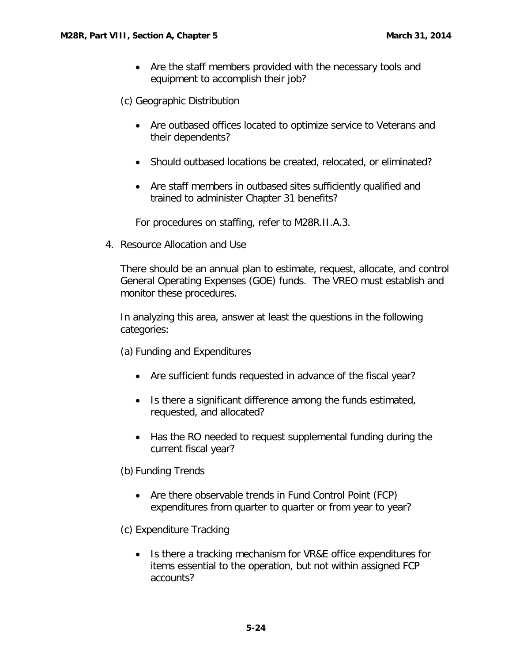• Are the staff members provided with the necessary tools and equipment to accomplish their job?

(c) Geographic Distribution

- Are outbased offices located to optimize service to Veterans and their dependents?
- Should outbased locations be created, relocated, or eliminated?
- Are staff members in outbased sites sufficiently qualified and trained to administer Chapter 31 benefits?

For procedures on staffing, refer to M28R.II.A.3.

<span id="page-25-0"></span>4. Resource Allocation and Use

There should be an annual plan to estimate, request, allocate, and control General Operating Expenses (GOE) funds. The VREO must establish and monitor these procedures.

In analyzing this area, answer at least the questions in the following categories:

(a) Funding and Expenditures

- Are sufficient funds requested in advance of the fiscal year?
- Is there a significant difference among the funds estimated, requested, and allocated?
- Has the RO needed to request supplemental funding during the current fiscal year?

(b) Funding Trends

- Are there observable trends in Fund Control Point (FCP) expenditures from quarter to quarter or from year to year?
- (c) Expenditure Tracking
	- Is there a tracking mechanism for VR&E office expenditures for items essential to the operation, but not within assigned FCP accounts?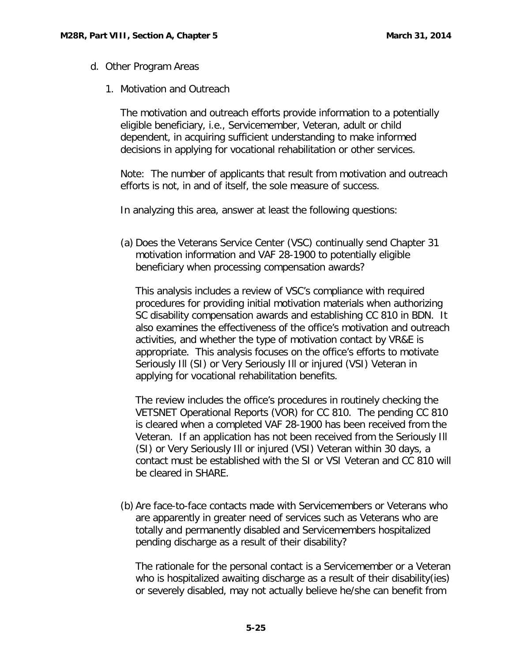- <span id="page-26-1"></span><span id="page-26-0"></span>d. Other Program Areas
	- 1. Motivation and Outreach

The motivation and outreach efforts provide information to a potentially eligible beneficiary, i.e., Servicemember, Veteran, adult or child dependent, in acquiring sufficient understanding to make informed decisions in applying for vocational rehabilitation or other services.

Note: The number of applicants that result from motivation and outreach efforts is not, in and of itself, the sole measure of success.

In analyzing this area, answer at least the following questions:

(a) Does the Veterans Service Center (VSC) continually send Chapter 31 motivation information and VAF 28-1900 to potentially eligible beneficiary when processing compensation awards?

This analysis includes a review of VSC's compliance with required procedures for providing initial motivation materials when authorizing SC disability compensation awards and establishing CC 810 in BDN. It also examines the effectiveness of the office's motivation and outreach activities, and whether the type of motivation contact by VR&E is appropriate. This analysis focuses on the office's efforts to motivate Seriously Ill (SI) or Very Seriously Ill or injured (VSI) Veteran in applying for vocational rehabilitation benefits.

The review includes the office's procedures in routinely checking the VETSNET Operational Reports (VOR) for CC 810. The pending CC 810 is cleared when a completed VAF 28-1900 has been received from the Veteran. If an application has not been received from the Seriously Ill (SI) or Very Seriously Ill or injured (VSI) Veteran within 30 days, a contact must be established with the SI or VSI Veteran and CC 810 will be cleared in SHARE.

(b) Are face-to-face contacts made with Servicemembers or Veterans who are apparently in greater need of services such as Veterans who are totally and permanently disabled and Servicemembers hospitalized pending discharge as a result of their disability?

The rationale for the personal contact is a Servicemember or a Veteran who is hospitalized awaiting discharge as a result of their disability(ies) or severely disabled, may not actually believe he/she can benefit from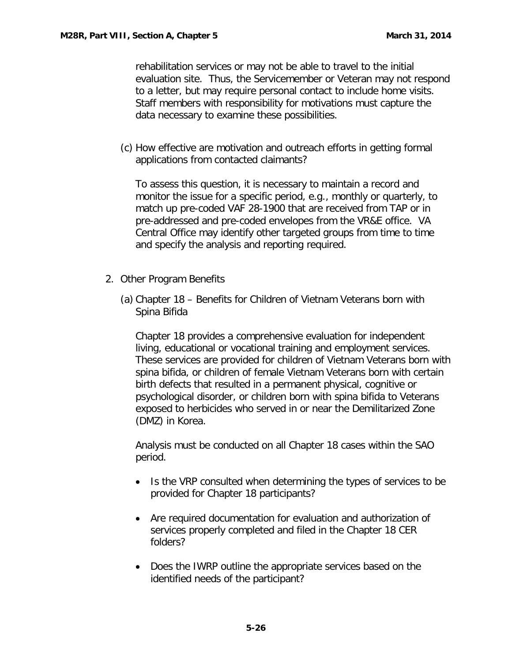rehabilitation services or may not be able to travel to the initial evaluation site. Thus, the Servicemember or Veteran may not respond to a letter, but may require personal contact to include home visits. Staff members with responsibility for motivations must capture the data necessary to examine these possibilities.

(c) How effective are motivation and outreach efforts in getting formal applications from contacted claimants?

To assess this question, it is necessary to maintain a record and monitor the issue for a specific period, e.g., monthly or quarterly, to match up pre-coded VAF 28-1900 that are received from TAP or in pre-addressed and pre-coded envelopes from the VR&E office. VA Central Office may identify other targeted groups from time to time and specify the analysis and reporting required.

- <span id="page-27-0"></span>2. Other Program Benefits
	- (a) Chapter 18 Benefits for Children of Vietnam Veterans born with Spina Bifida

Chapter 18 provides a comprehensive evaluation for independent living, educational or vocational training and employment services. These services are provided for children of Vietnam Veterans born with spina bifida, or children of female Vietnam Veterans born with certain birth defects that resulted in a permanent physical, cognitive or psychological disorder, or children born with spina bifida to Veterans exposed to herbicides who served in or near the Demilitarized Zone (DMZ) in Korea.

Analysis must be conducted on all Chapter 18 cases within the SAO period.

- Is the VRP consulted when determining the types of services to be provided for Chapter 18 participants?
- Are required documentation for evaluation and authorization of services properly completed and filed in the Chapter 18 CER folders?
- Does the IWRP outline the appropriate services based on the identified needs of the participant?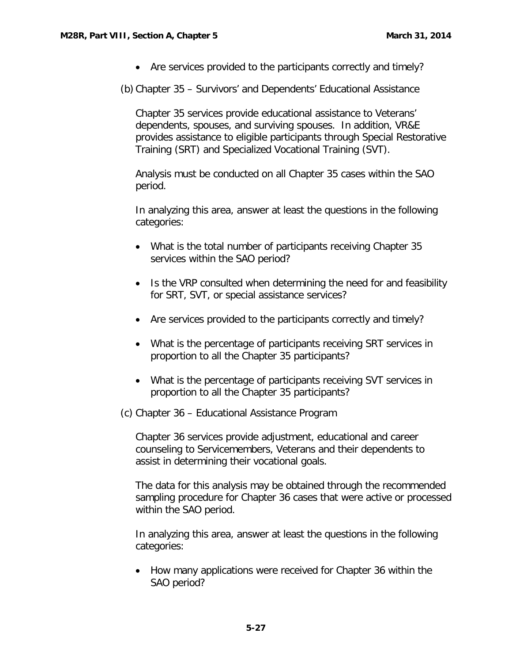• Are services provided to the participants correctly and timely?

(b) Chapter 35 – Survivors' and Dependents' Educational Assistance

Chapter 35 services provide educational assistance to Veterans' dependents, spouses, and surviving spouses. In addition, VR&E provides assistance to eligible participants through Special Restorative Training (SRT) and Specialized Vocational Training (SVT).

Analysis must be conducted on all Chapter 35 cases within the SAO period.

In analyzing this area, answer at least the questions in the following categories:

- What is the total number of participants receiving Chapter 35 services within the SAO period?
- Is the VRP consulted when determining the need for and feasibility for SRT, SVT, or special assistance services?
- Are services provided to the participants correctly and timely?
- What is the percentage of participants receiving SRT services in proportion to all the Chapter 35 participants?
- What is the percentage of participants receiving SVT services in proportion to all the Chapter 35 participants?
- (c) Chapter 36 Educational Assistance Program

Chapter 36 services provide adjustment, educational and career counseling to Servicemembers, Veterans and their dependents to assist in determining their vocational goals.

The data for this analysis may be obtained through the recommended sampling procedure for Chapter 36 cases that were active or processed within the SAO period.

In analyzing this area, answer at least the questions in the following categories:

• How many applications were received for Chapter 36 within the SAO period?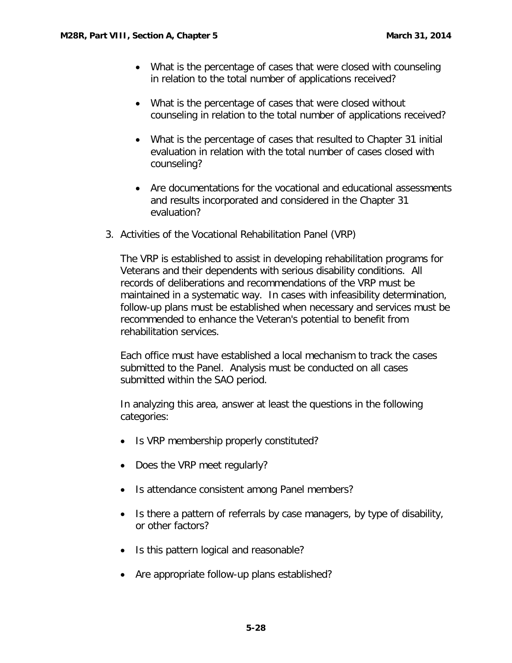- What is the percentage of cases that were closed with counseling in relation to the total number of applications received?
- What is the percentage of cases that were closed without counseling in relation to the total number of applications received?
- What is the percentage of cases that resulted to Chapter 31 initial evaluation in relation with the total number of cases closed with counseling?
- Are documentations for the vocational and educational assessments and results incorporated and considered in the Chapter 31 evaluation?
- <span id="page-29-0"></span>3. Activities of the Vocational Rehabilitation Panel (VRP)

The VRP is established to assist in developing rehabilitation programs for Veterans and their dependents with serious disability conditions. All records of deliberations and recommendations of the VRP must be maintained in a systematic way. In cases with infeasibility determination, follow-up plans must be established when necessary and services must be recommended to enhance the Veteran's potential to benefit from rehabilitation services.

Each office must have established a local mechanism to track the cases submitted to the Panel. Analysis must be conducted on all cases submitted within the SAO period.

In analyzing this area, answer at least the questions in the following categories:

- Is VRP membership properly constituted?
- Does the VRP meet regularly?
- Is attendance consistent among Panel members?
- Is there a pattern of referrals by case managers, by type of disability, or other factors?
- Is this pattern logical and reasonable?
- Are appropriate follow-up plans established?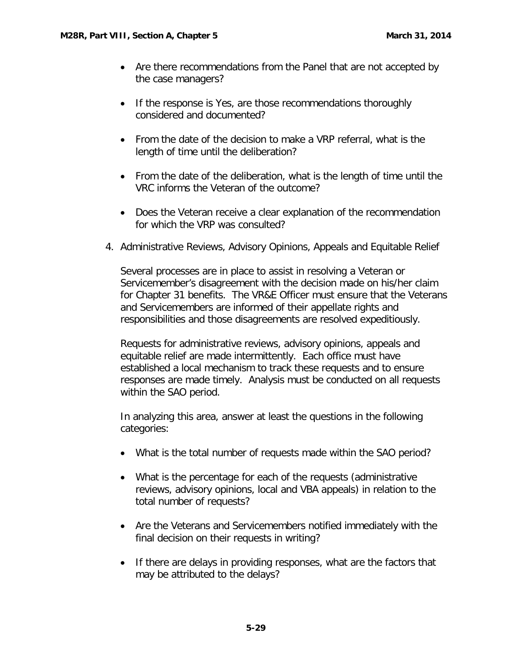- Are there recommendations from the Panel that are not accepted by the case managers?
- If the response is Yes, are those recommendations thoroughly considered and documented?
- From the date of the decision to make a VRP referral, what is the length of time until the deliberation?
- From the date of the deliberation, what is the length of time until the VRC informs the Veteran of the outcome?
- Does the Veteran receive a clear explanation of the recommendation for which the VRP was consulted?
- <span id="page-30-0"></span>4. Administrative Reviews, Advisory Opinions, Appeals and Equitable Relief

Several processes are in place to assist in resolving a Veteran or Servicemember's disagreement with the decision made on his/her claim for Chapter 31 benefits. The VR&E Officer must ensure that the Veterans and Servicemembers are informed of their appellate rights and responsibilities and those disagreements are resolved expeditiously.

Requests for administrative reviews, advisory opinions, appeals and equitable relief are made intermittently. Each office must have established a local mechanism to track these requests and to ensure responses are made timely. Analysis must be conducted on all requests within the SAO period.

In analyzing this area, answer at least the questions in the following categories:

- What is the total number of requests made within the SAO period?
- What is the percentage for each of the requests (administrative reviews, advisory opinions, local and VBA appeals) in relation to the total number of requests?
- Are the Veterans and Servicemembers notified immediately with the final decision on their requests in writing?
- If there are delays in providing responses, what are the factors that may be attributed to the delays?